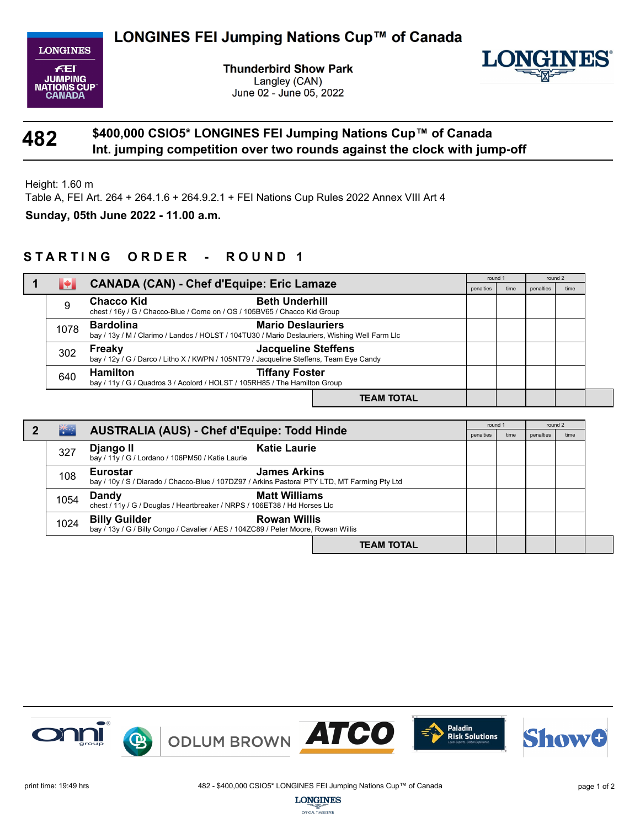

**Thunderbird Show Park** Langley (CAN) June 02 - June 05, 2022



## **482 Int. jumping competition over two rounds against the clock with jump-off \$400,000 CSIO5\* LONGINES FEI Jumping Nations Cup™ of Canada**

Height: 1.60 m

Table A, FEI Art. 264 + 264.1.6 + 264.9.2.1 + FEI Nations Cup Rules 2022 Annex VIII Art 4

**Sunday, 05th June 2022 - 11.00 a.m.**

## STARTING ORDER - ROUND 1

|      |                                                                                                                                               |                   | round 1   |      | round 2   |      |
|------|-----------------------------------------------------------------------------------------------------------------------------------------------|-------------------|-----------|------|-----------|------|
|      | <b>CANADA (CAN) - Chef d'Equipe: Eric Lamaze</b>                                                                                              |                   | penalties | time | penalties | time |
| 9    | <b>Beth Underhill</b><br><b>Chacco Kid</b><br>chest / 16y / G / Chacco-Blue / Come on / OS / 105BV65 / Chacco Kid Group                       |                   |           |      |           |      |
| 1078 | <b>Bardolina</b><br><b>Mario Deslauriers</b><br>bay / 13y / M / Clarimo / Landos / HOLST / 104TU30 / Mario Deslauriers, Wishing Well Farm Llc |                   |           |      |           |      |
| 302  | <b>Jacqueline Steffens</b><br>Freaky<br>bay / 12y / G / Darco / Litho X / KWPN / 105NT79 / Jacqueline Steffens, Team Eye Candy                |                   |           |      |           |      |
| 640  | <b>Hamilton</b><br><b>Tiffany Foster</b><br>bay / 11y / G / Quadros 3 / Acolord / HOLST / 105RH85 / The Hamilton Group                        |                   |           |      |           |      |
|      |                                                                                                                                               | <b>TEAM TOTAL</b> |           |      |           |      |

|  |      |                                                                                                                                         |                   | round 1   |      | round 2   |      |
|--|------|-----------------------------------------------------------------------------------------------------------------------------------------|-------------------|-----------|------|-----------|------|
|  | **∴  | <b>AUSTRALIA (AUS) - Chef d'Equipe: Todd Hinde</b>                                                                                      |                   | penalties | time | penalties | time |
|  | 327  | <b>Katie Laurie</b><br>Django II<br>bay / 11y / G / Lordano / 106PM50 / Katie Laurie                                                    |                   |           |      |           |      |
|  | 108  | <b>James Arkins</b><br><b>Eurostar</b><br>bay / 10y / S / Diarado / Chacco-Blue / 107DZ97 / Arkins Pastoral PTY LTD, MT Farming Pty Ltd |                   |           |      |           |      |
|  | 1054 | <b>Matt Williams</b><br>Dandy<br>chest / 11y / G / Douglas / Heartbreaker / NRPS / 106ET38 / Hd Horses Llc                              |                   |           |      |           |      |
|  | 1024 | <b>Billy Guilder</b><br><b>Rowan Willis</b><br>bay / 13y / G / Billy Congo / Cavalier / AES / 104ZC89 / Peter Moore, Rowan Willis       |                   |           |      |           |      |
|  |      |                                                                                                                                         | <b>TEAM TOTAL</b> |           |      |           |      |



OFFICIAL TIMEKEEPER